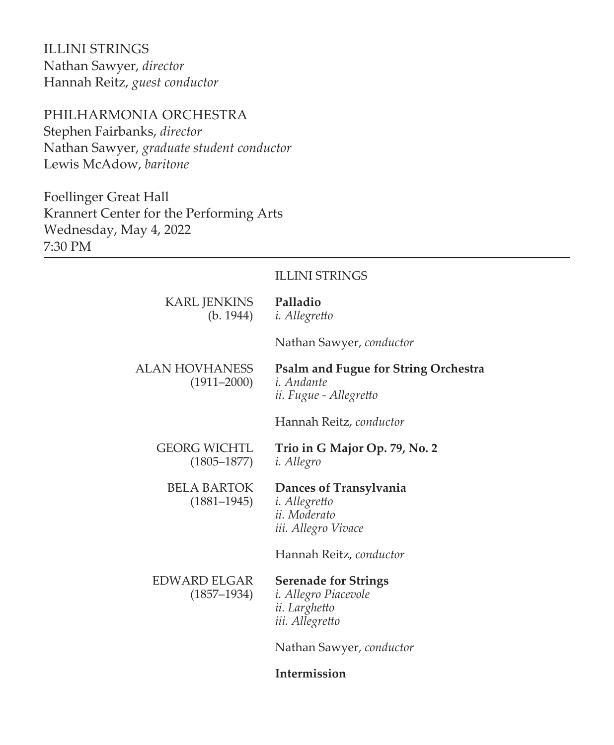ILLINI STRINGS Nathan Sawyer, *director* Hannah Reitz, *guest conductor*

# PHILHARMONIA ORCHESTRA

Stephen Fairbanks, *director* Nathan Sawyer, *graduate student conductor* Lewis McAdow, *baritone*

Foellinger Great Hall Krannert Center for the Performing Arts Wednesday, May 4, 2022 7:30 PM

### ILLINI STRINGS

| KARL JENKINS Palladio<br>(b. 1944) | <i>i. Allegretto</i>                                                                       |
|------------------------------------|--------------------------------------------------------------------------------------------|
|                                    | Nathan Sawyer, conductor                                                                   |
| ALAN HOVHANESS<br>$(1911 - 2000)$  | <b>Psalm and Fugue for String Orchestra</b><br><i>i. Andante</i><br>ii. Fugue - Allegretto |
|                                    | Hannah Reitz, conductor                                                                    |
| GEORG WICHTL<br>$(1805 - 1877)$    | Trio in G Major Op. 79, No. 2<br><i>i. Allegro</i>                                         |
| BELA BARTOK<br>$(1881 - 1945)$     | Dances of Transylvania<br><i>i. Allegretto</i><br>ii. Moderato<br>iii. Allegro Vivace      |
|                                    | Hannah Reitz, conductor                                                                    |
| EDWARD ELGAR<br>$(1857 - 1934)$    | <b>Serenade for Strings</b><br>i. Allegro Piacevole<br>ii. Larghetto<br>iii. Allegretto    |
|                                    | Nathan Sawyer, conductor                                                                   |
|                                    |                                                                                            |

# **Intermission**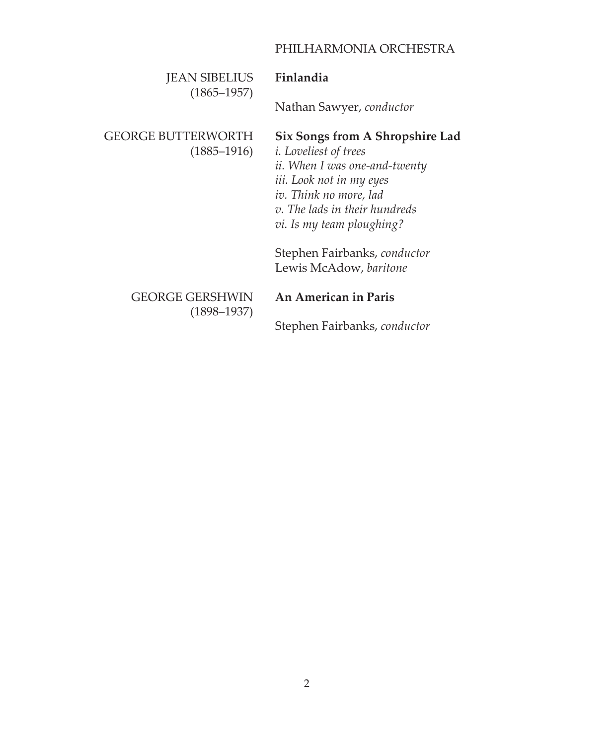# PHILHARMONIA ORCHESTRA

| <b>JEAN SIBELIUS</b><br>$(1865 - 1957)$   | Finlandia                                                                                                                                                                                                             |
|-------------------------------------------|-----------------------------------------------------------------------------------------------------------------------------------------------------------------------------------------------------------------------|
|                                           | Nathan Sawyer, conductor                                                                                                                                                                                              |
| GEORGE BUTTERWORTH<br>$(1885 - 1916)$     | Six Songs from A Shropshire Lad<br><i>i</i> . Loveliest of trees<br>ii. When I was one-and-twenty<br>iii. Look not in my eyes<br>iv. Think no more, lad<br>v. The lads in their hundreds<br>vi. Is my team ploughing? |
|                                           | Stephen Fairbanks, conductor<br>Lewis McAdow, baritone                                                                                                                                                                |
| <b>GEORGE GERSHWIN</b><br>$(1898 - 1937)$ | An American in Paris                                                                                                                                                                                                  |
|                                           | Stephen Fairbanks, conductor                                                                                                                                                                                          |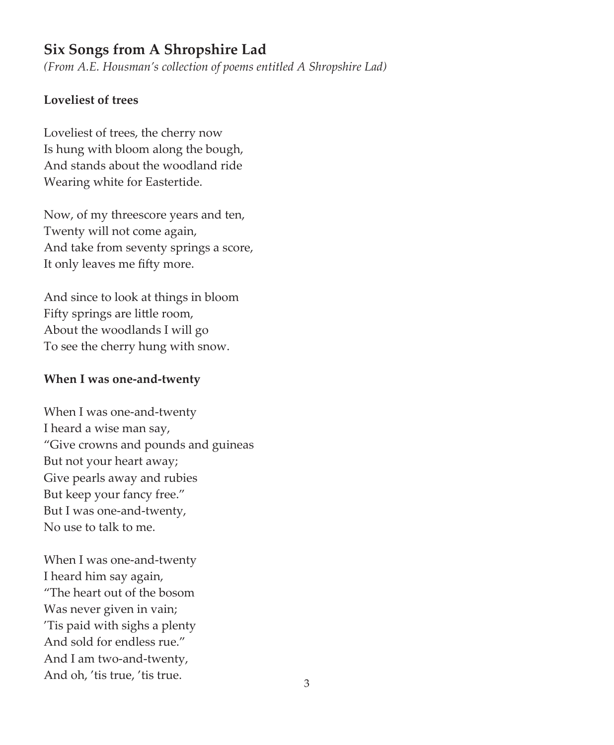# **Six Songs from A Shropshire Lad**

*(From A.E. Housman's collection of poems entitled A Shropshire Lad)*

### **Loveliest of trees**

Loveliest of trees, the cherry now Is hung with bloom along the bough, And stands about the woodland ride Wearing white for Eastertide.

Now, of my threescore years and ten, Twenty will not come again, And take from seventy springs a score, It only leaves me fifty more.

And since to look at things in bloom Fifty springs are little room, About the woodlands I will go To see the cherry hung with snow.

### **When I was one-and-twenty**

When I was one-and-twenty I heard a wise man say, "Give crowns and pounds and guineas But not your heart away; Give pearls away and rubies But keep your fancy free." But I was one-and-twenty, No use to talk to me.

When I was one-and-twenty I heard him say again, "The heart out of the bosom Was never given in vain; 'Tis paid with sighs a plenty And sold for endless rue." And I am two-and-twenty, And oh, 'tis true, 'tis true.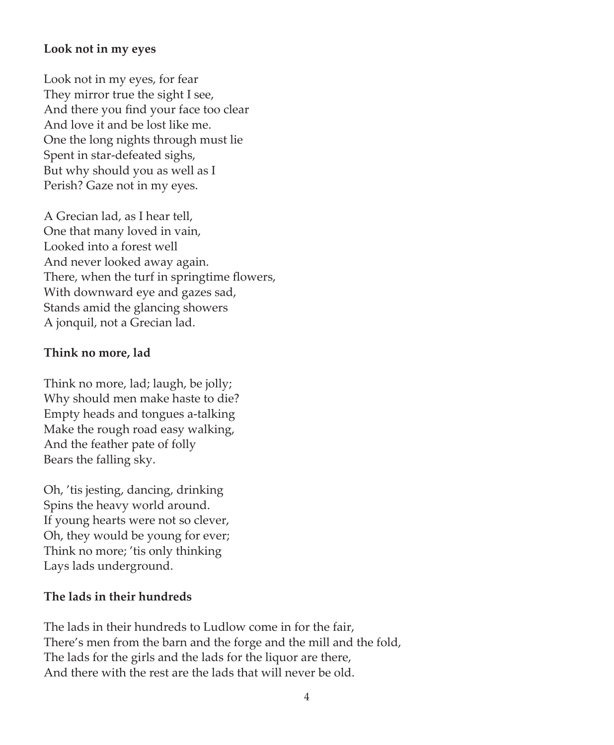### **Look not in my eyes**

Look not in my eyes, for fear They mirror true the sight I see, And there you find your face too clear And love it and be lost like me. One the long nights through must lie Spent in star-defeated sighs, But why should you as well as I Perish? Gaze not in my eyes.

A Grecian lad, as I hear tell, One that many loved in vain, Looked into a forest well And never looked away again. There, when the turf in springtime flowers, With downward eye and gazes sad, Stands amid the glancing showers A jonquil, not a Grecian lad.

### **Think no more, lad**

Think no more, lad; laugh, be jolly; Why should men make haste to die? Empty heads and tongues a-talking Make the rough road easy walking, And the feather pate of folly Bears the falling sky.

Oh, 'tis jesting, dancing, drinking Spins the heavy world around. If young hearts were not so clever, Oh, they would be young for ever; Think no more; 'tis only thinking Lays lads underground.

## **The lads in their hundreds**

The lads in their hundreds to Ludlow come in for the fair, There's men from the barn and the forge and the mill and the fold, The lads for the girls and the lads for the liquor are there, And there with the rest are the lads that will never be old.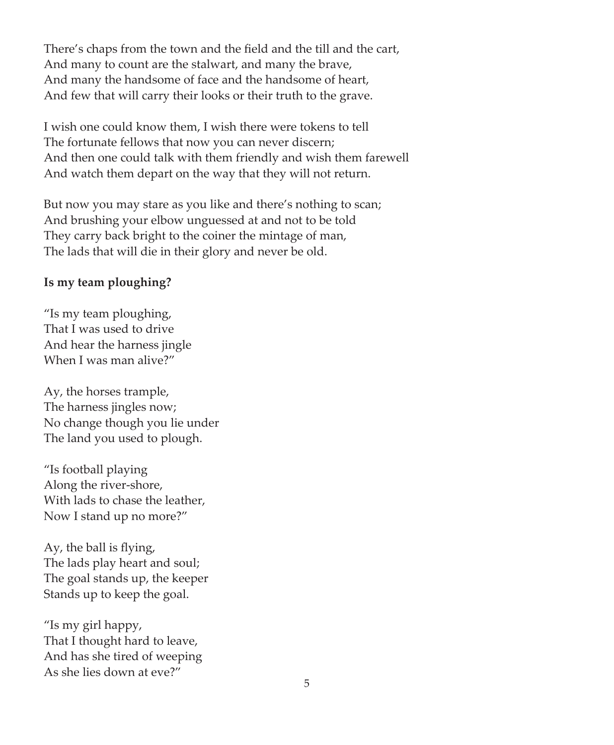There's chaps from the town and the field and the till and the cart, And many to count are the stalwart, and many the brave, And many the handsome of face and the handsome of heart, And few that will carry their looks or their truth to the grave.

I wish one could know them, I wish there were tokens to tell The fortunate fellows that now you can never discern; And then one could talk with them friendly and wish them farewell And watch them depart on the way that they will not return.

But now you may stare as you like and there's nothing to scan; And brushing your elbow unguessed at and not to be told They carry back bright to the coiner the mintage of man, The lads that will die in their glory and never be old.

### **Is my team ploughing?**

"Is my team ploughing, That I was used to drive And hear the harness jingle When I was man alive?"

Ay, the horses trample, The harness jingles now; No change though you lie under The land you used to plough.

"Is football playing Along the river-shore, With lads to chase the leather, Now I stand up no more?"

Ay, the ball is flying, The lads play heart and soul; The goal stands up, the keeper Stands up to keep the goal.

"Is my girl happy, That I thought hard to leave, And has she tired of weeping As she lies down at eve?"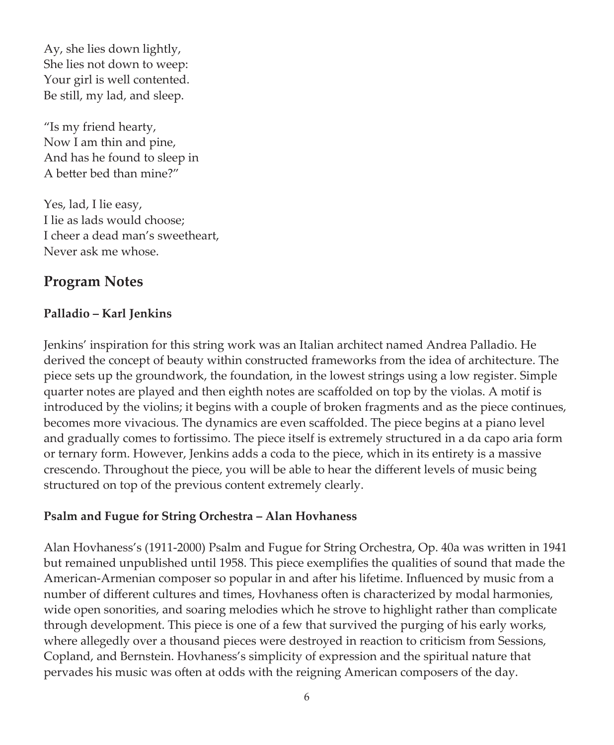Ay, she lies down lightly, She lies not down to weep: Your girl is well contented. Be still, my lad, and sleep.

"Is my friend hearty, Now I am thin and pine, And has he found to sleep in A better bed than mine?"

Yes, lad, I lie easy, I lie as lads would choose; I cheer a dead man's sweetheart, Never ask me whose.

# **Program Notes**

# **Palladio – Karl Jenkins**

Jenkins' inspiration for this string work was an Italian architect named Andrea Palladio. He derived the concept of beauty within constructed frameworks from the idea of architecture. The piece sets up the groundwork, the foundation, in the lowest strings using a low register. Simple quarter notes are played and then eighth notes are scaffolded on top by the violas. A motif is introduced by the violins; it begins with a couple of broken fragments and as the piece continues, becomes more vivacious. The dynamics are even scaffolded. The piece begins at a piano level and gradually comes to fortissimo. The piece itself is extremely structured in a da capo aria form or ternary form. However, Jenkins adds a coda to the piece, which in its entirety is a massive crescendo. Throughout the piece, you will be able to hear the different levels of music being structured on top of the previous content extremely clearly.

# **Psalm and Fugue for String Orchestra – Alan Hovhaness**

Alan Hovhaness's (1911-2000) Psalm and Fugue for String Orchestra, Op. 40a was written in 1941 but remained unpublished until 1958. This piece exemplifies the qualities of sound that made the American-Armenian composer so popular in and after his lifetime. Influenced by music from a number of different cultures and times, Hovhaness often is characterized by modal harmonies, wide open sonorities, and soaring melodies which he strove to highlight rather than complicate through development. This piece is one of a few that survived the purging of his early works, where allegedly over a thousand pieces were destroyed in reaction to criticism from Sessions, Copland, and Bernstein. Hovhaness's simplicity of expression and the spiritual nature that pervades his music was often at odds with the reigning American composers of the day.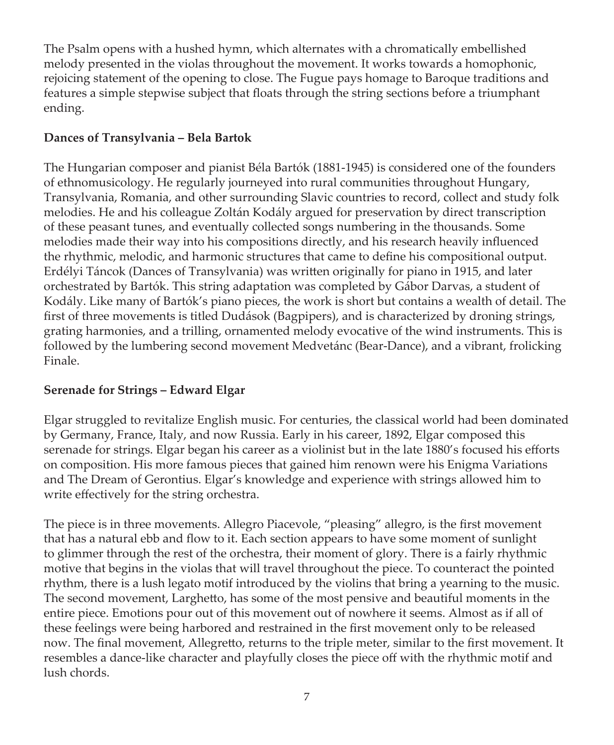The Psalm opens with a hushed hymn, which alternates with a chromatically embellished melody presented in the violas throughout the movement. It works towards a homophonic, rejoicing statement of the opening to close. The Fugue pays homage to Baroque traditions and features a simple stepwise subject that floats through the string sections before a triumphant ending.

## **Dances of Transylvania – Bela Bartok**

The Hungarian composer and pianist Béla Bartók (1881-1945) is considered one of the founders of ethnomusicology. He regularly journeyed into rural communities throughout Hungary, Transylvania, Romania, and other surrounding Slavic countries to record, collect and study folk melodies. He and his colleague Zoltán Kodály argued for preservation by direct transcription of these peasant tunes, and eventually collected songs numbering in the thousands. Some melodies made their way into his compositions directly, and his research heavily influenced the rhythmic, melodic, and harmonic structures that came to define his compositional output. Erdélyi Táncok (Dances of Transylvania) was written originally for piano in 1915, and later orchestrated by Bartók. This string adaptation was completed by Gábor Darvas, a student of Kodály. Like many of Bartók's piano pieces, the work is short but contains a wealth of detail. The first of three movements is titled Dudások (Bagpipers), and is characterized by droning strings, grating harmonies, and a trilling, ornamented melody evocative of the wind instruments. This is followed by the lumbering second movement Medvetánc (Bear-Dance), and a vibrant, frolicking Finale.

# **Serenade for Strings – Edward Elgar**

Elgar struggled to revitalize English music. For centuries, the classical world had been dominated by Germany, France, Italy, and now Russia. Early in his career, 1892, Elgar composed this serenade for strings. Elgar began his career as a violinist but in the late 1880's focused his efforts on composition. His more famous pieces that gained him renown were his Enigma Variations and The Dream of Gerontius. Elgar's knowledge and experience with strings allowed him to write effectively for the string orchestra.

The piece is in three movements. Allegro Piacevole, "pleasing" allegro, is the first movement that has a natural ebb and flow to it. Each section appears to have some moment of sunlight to glimmer through the rest of the orchestra, their moment of glory. There is a fairly rhythmic motive that begins in the violas that will travel throughout the piece. To counteract the pointed rhythm, there is a lush legato motif introduced by the violins that bring a yearning to the music. The second movement, Larghetto, has some of the most pensive and beautiful moments in the entire piece. Emotions pour out of this movement out of nowhere it seems. Almost as if all of these feelings were being harbored and restrained in the first movement only to be released now. The final movement, Allegretto, returns to the triple meter, similar to the first movement. It resembles a dance-like character and playfully closes the piece off with the rhythmic motif and lush chords.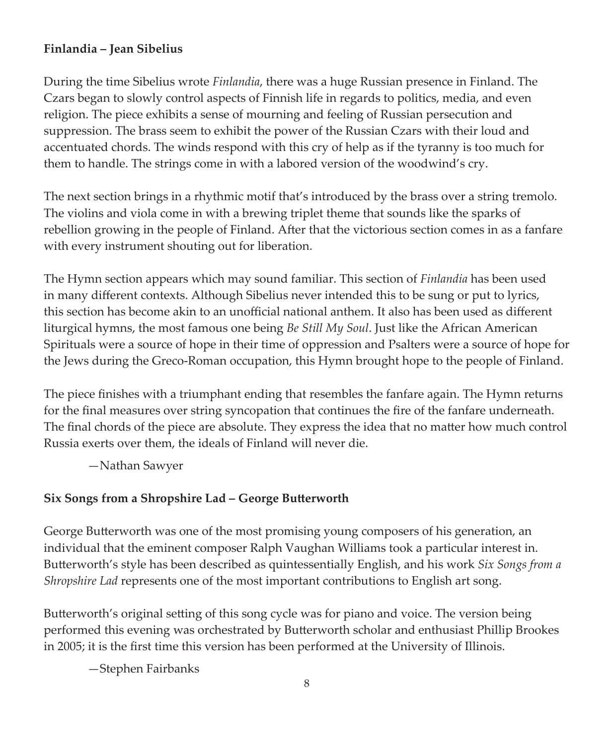## **Finlandia – Jean Sibelius**

During the time Sibelius wrote *Finlandia*, there was a huge Russian presence in Finland. The Czars began to slowly control aspects of Finnish life in regards to politics, media, and even religion. The piece exhibits a sense of mourning and feeling of Russian persecution and suppression. The brass seem to exhibit the power of the Russian Czars with their loud and accentuated chords. The winds respond with this cry of help as if the tyranny is too much for them to handle. The strings come in with a labored version of the woodwind's cry.

The next section brings in a rhythmic motif that's introduced by the brass over a string tremolo. The violins and viola come in with a brewing triplet theme that sounds like the sparks of rebellion growing in the people of Finland. After that the victorious section comes in as a fanfare with every instrument shouting out for liberation.

The Hymn section appears which may sound familiar. This section of *Finlandia* has been used in many different contexts. Although Sibelius never intended this to be sung or put to lyrics, this section has become akin to an unofficial national anthem. It also has been used as different liturgical hymns, the most famous one being *Be Still My Soul*. Just like the African American Spirituals were a source of hope in their time of oppression and Psalters were a source of hope for the Jews during the Greco-Roman occupation, this Hymn brought hope to the people of Finland.

The piece finishes with a triumphant ending that resembles the fanfare again. The Hymn returns for the final measures over string syncopation that continues the fire of the fanfare underneath. The final chords of the piece are absolute. They express the idea that no matter how much control Russia exerts over them, the ideals of Finland will never die.

—Nathan Sawyer

## **Six Songs from a Shropshire Lad – George Butterworth**

George Butterworth was one of the most promising young composers of his generation, an individual that the eminent composer Ralph Vaughan Williams took a particular interest in. Butterworth's style has been described as quintessentially English, and his work *Six Songs from a Shropshire Lad* represents one of the most important contributions to English art song.

Butterworth's original setting of this song cycle was for piano and voice. The version being performed this evening was orchestrated by Butterworth scholar and enthusiast Phillip Brookes in 2005; it is the first time this version has been performed at the University of Illinois.

—Stephen Fairbanks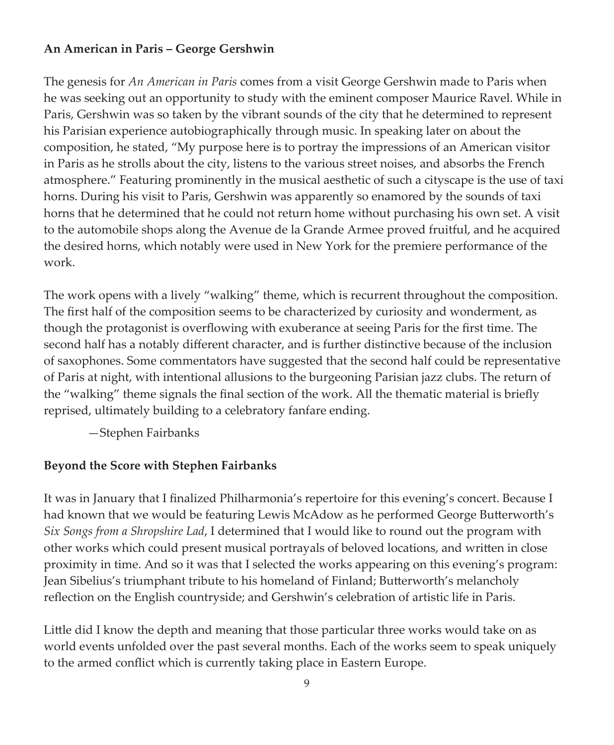### **An American in Paris – George Gershwin**

The genesis for *An American in Paris* comes from a visit George Gershwin made to Paris when he was seeking out an opportunity to study with the eminent composer Maurice Ravel. While in Paris, Gershwin was so taken by the vibrant sounds of the city that he determined to represent his Parisian experience autobiographically through music. In speaking later on about the composition, he stated, "My purpose here is to portray the impressions of an American visitor in Paris as he strolls about the city, listens to the various street noises, and absorbs the French atmosphere." Featuring prominently in the musical aesthetic of such a cityscape is the use of taxi horns. During his visit to Paris, Gershwin was apparently so enamored by the sounds of taxi horns that he determined that he could not return home without purchasing his own set. A visit to the automobile shops along the Avenue de la Grande Armee proved fruitful, and he acquired the desired horns, which notably were used in New York for the premiere performance of the work.

The work opens with a lively "walking" theme, which is recurrent throughout the composition. The first half of the composition seems to be characterized by curiosity and wonderment, as though the protagonist is overflowing with exuberance at seeing Paris for the first time. The second half has a notably different character, and is further distinctive because of the inclusion of saxophones. Some commentators have suggested that the second half could be representative of Paris at night, with intentional allusions to the burgeoning Parisian jazz clubs. The return of the "walking" theme signals the final section of the work. All the thematic material is briefly reprised, ultimately building to a celebratory fanfare ending.

—Stephen Fairbanks

### **Beyond the Score with Stephen Fairbanks**

It was in January that I finalized Philharmonia's repertoire for this evening's concert. Because I had known that we would be featuring Lewis McAdow as he performed George Butterworth's *Six Songs from a Shropshire Lad*, I determined that I would like to round out the program with other works which could present musical portrayals of beloved locations, and written in close proximity in time. And so it was that I selected the works appearing on this evening's program: Jean Sibelius's triumphant tribute to his homeland of Finland; Butterworth's melancholy reflection on the English countryside; and Gershwin's celebration of artistic life in Paris.

Little did I know the depth and meaning that those particular three works would take on as world events unfolded over the past several months. Each of the works seem to speak uniquely to the armed conflict which is currently taking place in Eastern Europe.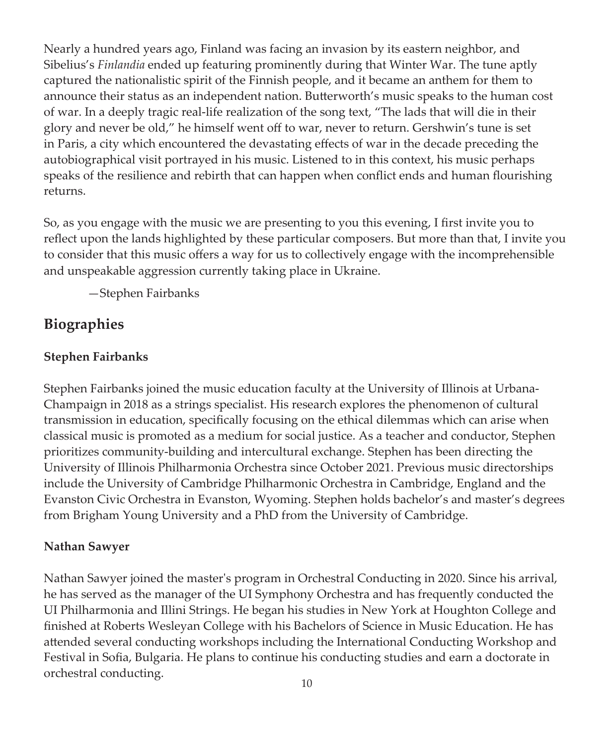Nearly a hundred years ago, Finland was facing an invasion by its eastern neighbor, and Sibelius's *Finlandia* ended up featuring prominently during that Winter War. The tune aptly captured the nationalistic spirit of the Finnish people, and it became an anthem for them to announce their status as an independent nation. Butterworth's music speaks to the human cost of war. In a deeply tragic real-life realization of the song text, "The lads that will die in their glory and never be old," he himself went off to war, never to return. Gershwin's tune is set in Paris, a city which encountered the devastating effects of war in the decade preceding the autobiographical visit portrayed in his music. Listened to in this context, his music perhaps speaks of the resilience and rebirth that can happen when conflict ends and human flourishing returns.

So, as you engage with the music we are presenting to you this evening, I first invite you to reflect upon the lands highlighted by these particular composers. But more than that, I invite you to consider that this music offers a way for us to collectively engage with the incomprehensible and unspeakable aggression currently taking place in Ukraine.

—Stephen Fairbanks

# **Biographies**

## **Stephen Fairbanks**

Stephen Fairbanks joined the music education faculty at the University of Illinois at Urbana-Champaign in 2018 as a strings specialist. His research explores the phenomenon of cultural transmission in education, specifically focusing on the ethical dilemmas which can arise when classical music is promoted as a medium for social justice. As a teacher and conductor, Stephen prioritizes community-building and intercultural exchange. Stephen has been directing the University of Illinois Philharmonia Orchestra since October 2021. Previous music directorships include the University of Cambridge Philharmonic Orchestra in Cambridge, England and the Evanston Civic Orchestra in Evanston, Wyoming. Stephen holds bachelor's and master's degrees from Brigham Young University and a PhD from the University of Cambridge.

## **Nathan Sawyer**

Nathan Sawyer joined the master's program in Orchestral Conducting in 2020. Since his arrival, he has served as the manager of the UI Symphony Orchestra and has frequently conducted the UI Philharmonia and Illini Strings. He began his studies in New York at Houghton College and finished at Roberts Wesleyan College with his Bachelors of Science in Music Education. He has attended several conducting workshops including the International Conducting Workshop and Festival in Sofia, Bulgaria. He plans to continue his conducting studies and earn a doctorate in orchestral conducting.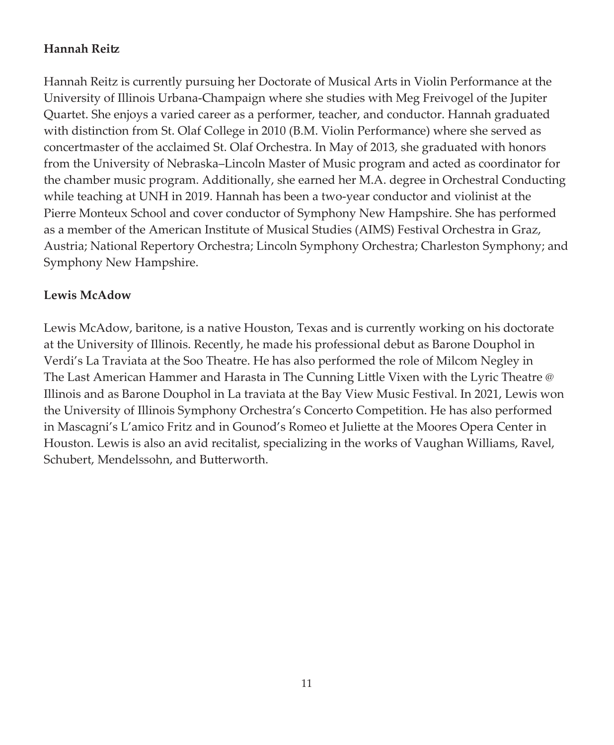## **Hannah Reitz**

Hannah Reitz is currently pursuing her Doctorate of Musical Arts in Violin Performance at the University of Illinois Urbana-Champaign where she studies with Meg Freivogel of the Jupiter Quartet. She enjoys a varied career as a performer, teacher, and conductor. Hannah graduated with distinction from St. Olaf College in 2010 (B.M. Violin Performance) where she served as concertmaster of the acclaimed St. Olaf Orchestra. In May of 2013, she graduated with honors from the University of Nebraska–Lincoln Master of Music program and acted as coordinator for the chamber music program. Additionally, she earned her M.A. degree in Orchestral Conducting while teaching at UNH in 2019. Hannah has been a two-year conductor and violinist at the Pierre Monteux School and cover conductor of Symphony New Hampshire. She has performed as a member of the American Institute of Musical Studies (AIMS) Festival Orchestra in Graz, Austria; National Repertory Orchestra; Lincoln Symphony Orchestra; Charleston Symphony; and Symphony New Hampshire.

### **Lewis McAdow**

Lewis McAdow, baritone, is a native Houston, Texas and is currently working on his doctorate at the University of Illinois. Recently, he made his professional debut as Barone Douphol in Verdi's La Traviata at the Soo Theatre. He has also performed the role of Milcom Negley in The Last American Hammer and Harasta in The Cunning Little Vixen with the Lyric Theatre @ Illinois and as Barone Douphol in La traviata at the Bay View Music Festival. In 2021, Lewis won the University of Illinois Symphony Orchestra's Concerto Competition. He has also performed in Mascagni's L'amico Fritz and in Gounod's Romeo et Juliette at the Moores Opera Center in Houston. Lewis is also an avid recitalist, specializing in the works of Vaughan Williams, Ravel, Schubert, Mendelssohn, and Butterworth.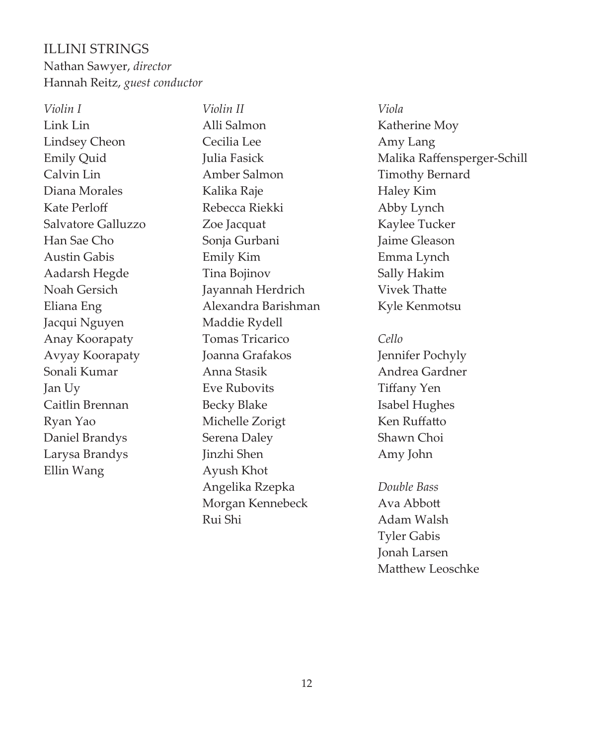# ILLINI STRINGS Nathan Sawyer, *director* Hannah Reitz, *guest conductor*

*Violin I*  Link Lin Lindsey Cheon Emily Quid Calvin Lin Diana Morales Kate Perloff Salvatore Galluzzo Han Sae Cho Austin Gabis Aadarsh Hegde Noah Gersich Eliana Eng Jacqui Nguyen Anay Koorapaty Avyay Koorapaty Sonali Kumar Jan Uy Caitlin Brennan Ryan Yao Daniel Brandys Larysa Brandys Ellin Wang

*Violin II* Alli Salmon Cecilia Lee Julia Fasick Amber Salmon Kalika Raje Rebecca Riekki Zoe Jacquat Sonja Gurbani Emily Kim Tina Bojinov Jayannah Herdrich Alexandra Barishman Maddie Rydell Tomas Tricarico Joanna Grafakos Anna Stasik Eve Rubovits Becky Blake Michelle Zorigt Serena Daley Jinzhi Shen Ayush Khot Angelika Rzepka Morgan Kennebeck Rui Shi

*Viola* Katherine Moy Amy Lang Malika Raffensperger-Schill Timothy Bernard Haley Kim Abby Lynch Kaylee Tucker Jaime Gleason Emma Lynch Sally Hakim Vivek Thatte Kyle Kenmotsu

### *Cello*

Jennifer Pochyly Andrea Gardner Tiffany Yen Isabel Hughes Ken Ruffatto Shawn Choi Amy John

*Double Bass* Ava Abbott Adam Walsh Tyler Gabis Jonah Larsen Matthew Leoschke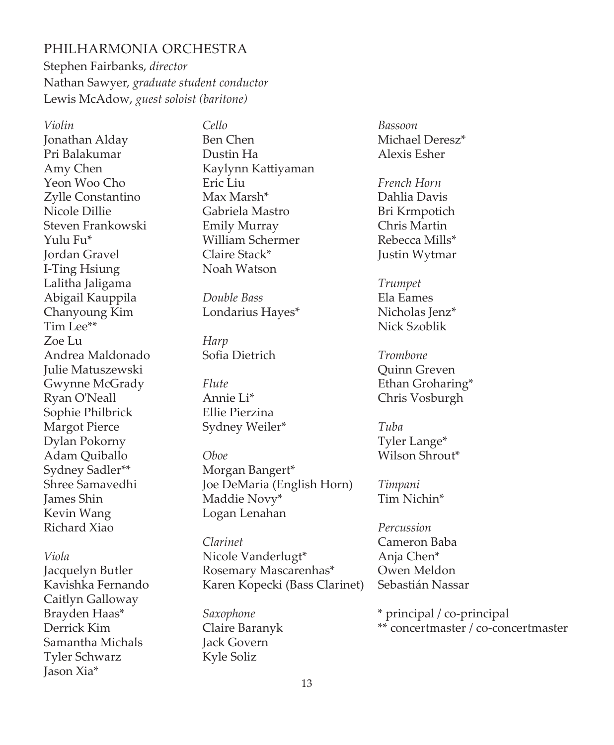### PHILHARMONIA ORCHESTRA

Stephen Fairbanks, *director*  Nathan Sawyer, *graduate student conductor* Lewis McAdow, *guest soloist (baritone)*

*Violin*  Jonathan Alday Pri Balakumar Amy Chen Yeon Woo Cho Zylle Constantino Nicole Dillie Steven Frankowski Yulu Fu\* Jordan Gravel I-Ting Hsiung Lalitha Jaligama Abigail Kauppila Chanyoung Kim Tim Lee\*\* Zoe Lu Andrea Maldonado Julie Matuszewski Gwynne McGrady Ryan O'Neall Sophie Philbrick Margot Pierce Dylan Pokorny Adam Quiballo Sydney Sadler\*\* Shree Samavedhi James Shin Kevin Wang Richard Xiao

*Viola* Jacquelyn Butler Kavishka Fernando Caitlyn Galloway Brayden Haas\* Derrick Kim Samantha Michals Tyler Schwarz Jason Xia\*

*Cello* Ben Chen Dustin Ha Kaylynn Kattiyaman Eric Liu Max Marsh\* Gabriela Mastro Emily Murray William Schermer Claire Stack\* Noah Watson

*Double Bass* Londarius Hayes\*

*Harp* Sofia Dietrich

*Flute* Annie Li\* Ellie Pierzina Sydney Weiler\*

*Oboe* Morgan Bangert\* Joe DeMaria (English Horn) Maddie Novy\* Logan Lenahan

*Clarinet* Nicole Vanderlugt\* Rosemary Mascarenhas\* Karen Kopecki (Bass Clarinet)

*Saxophone* Claire Baranyk Jack Govern Kyle Soliz

*Bassoon* Michael Deresz\* Alexis Esher

*French Horn* Dahlia Davis Bri Krmpotich Chris Martin Rebecca Mills\* Justin Wytmar

*Trumpet* Ela Eames Nicholas Ienz\* Nick Szoblik

*Trombone* Quinn Greven Ethan Groharing\* Chris Vosburgh

*Tuba* Tyler Lange\* Wilson Shrout\*

*Timpani* Tim Nichin\*

*Percussion* Cameron Baba Anja Chen\* Owen Meldon Sebastián Nassar

\* principal / co-principal \*\* concertmaster / co-concertmaster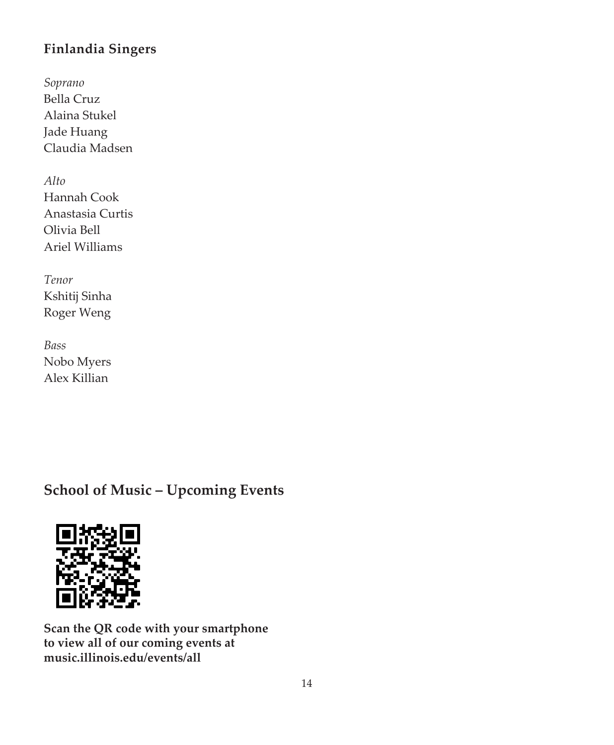# **Finlandia Singers**

*Soprano* Bella Cruz Alaina Stukel Jade Huang Claudia Madsen

*Alto* Hannah Cook Anastasia Curtis Olivia Bell Ariel Williams

*Tenor* Kshitij Sinha Roger Weng

*Bass* Nobo Myers Alex Killian

# **School of Music – Upcoming Events**



**Scan the QR code with your smartphone to view all of our coming events at music.illinois.edu/events/all**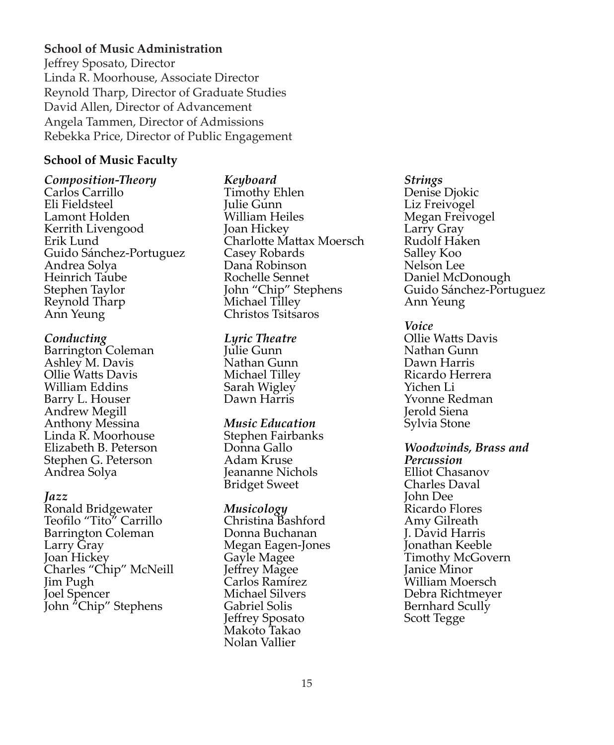### **School of Music Administration**

Jeffrey Sposato, Director Linda R. Moorhouse, Associate Director Reynold Tharp, Director of Graduate Studies David Allen, Director of Advancement Angela Tammen, Director of Admissions Rebekka Price, Director of Public Engagement

### **School of Music Faculty**

*Composition-Theory* Carlos Carrillo Eli Fieldsteel Lamont Holden Kerrith Livengood Erik Lund Guido Sánchez-Portuguez Andrea Solya Heinrich Taube Stephen Taylor Reynold Tharp Ann Yeung

#### *Conducting*

Barrington Coleman Ashley M. Davis Ollie Watts Davis William Eddins Barry L. Houser Andrew Megill Anthony Messina Linda R. Moorhouse Elizabeth B. Peterson Stephen G. Peterson Andrea Solya

#### *Jazz*

Ronald Bridgewater Teofilo "Tito" Carrillo Barrington Coleman Larry Gray Joan Hickey Charles "Chip" McNeill Jim Pugh Joel Spencer John "Chip" Stephens

### *Keyboard*

Timothy Ehlen Julie Gunn William Heiles Joan Hickey Charlotte Mattax Moersch Casey Robards Dana Robinson Rochelle Sennet John "Chip" Stephens Michael Tilley Christos Tsitsaros

#### *Lyric Theatre*

Julie Gunn Nathan Gunn Michael Tilley Sarah Wigley Dawn Harris

#### *Music Education*

Stephen Fairbanks Donna Gallo Adam Kruse Jeananne Nichols Bridget Sweet

### *Musicology*

Christina Bashford Donna Buchanan Megan Eagen-Jones Gayle Magee Jeffrey Magee Carlos Ramírez Michael Silvers Gabriel Solis Jeffrey Sposato Makoto Takao Nolan Vallier

#### *Strings*

Denise Djokic Liz Freivogel Megan Freivogel Larry Gray Rudolf Haken Salley Koo Nelson Lee Daniel McDonough Guido Sánchez-Portuguez Ann Yeung

*Voice* Ollie Watts Davis Nathan Gunn Dawn Harris Ricardo Herrera Yichen Li Yvonne Redman

Jerold Siena Sylvia Stone

*Woodwinds, Brass and Percussion* Elliot Chasanov Charles Daval John Dee Ricardo Flores Amy Gilreath J. David Harris Jonathan Keeble Timothy McGovern Janice Minor William Moersch Debra Richtmeyer Bernhard Scully Scott Tegge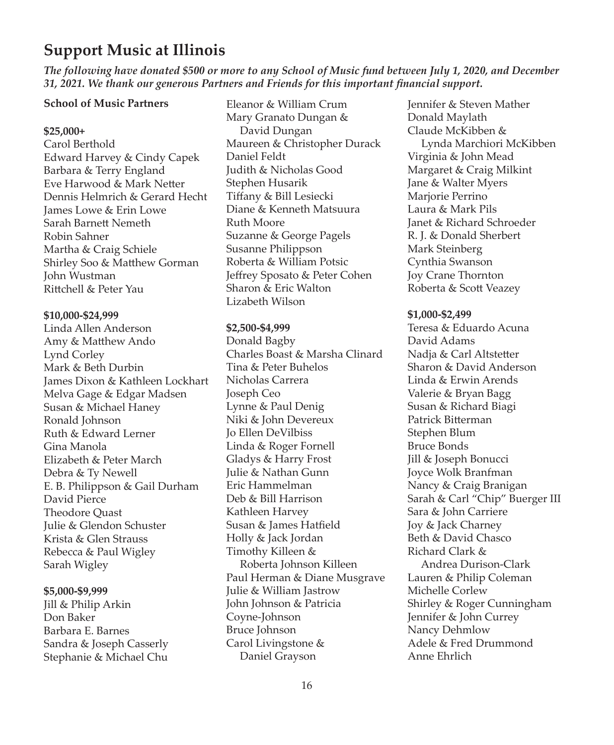# **Support Music at Illinois**

*The following have donated \$500 or more to any School of Music fund between July 1, 2020, and December 31, 2021. We thank our generous Partners and Friends for this important financial support.*

### **School of Music Partners**

#### **\$25,000+**

Carol Berthold Edward Harvey & Cindy Capek Barbara & Terry England Eve Harwood & Mark Netter Dennis Helmrich & Gerard Hecht James Lowe & Erin Lowe Sarah Barnett Nemeth Robin Sahner Martha & Craig Schiele Shirley Soo & Matthew Gorman John Wustman Rittchell & Peter Yau

#### **\$10,000-\$24,999**

Linda Allen Anderson Amy & Matthew Ando Lynd Corley Mark & Beth Durbin James Dixon & Kathleen Lockhart Melva Gage & Edgar Madsen Susan & Michael Haney Ronald Johnson Ruth & Edward Lerner Gina Manola Elizabeth & Peter March Debra & Ty Newell E. B. Philippson & Gail Durham David Pierce Theodore Quast Julie & Glendon Schuster Krista & Glen Strauss Rebecca & Paul Wigley Sarah Wigley

#### **\$5,000-\$9,999**

Jill & Philip Arkin Don Baker Barbara E. Barnes Sandra & Joseph Casserly Stephanie & Michael Chu

Eleanor & William Crum Mary Granato Dungan & David Dungan Maureen & Christopher Durack Daniel Feldt Judith & Nicholas Good Stephen Husarik Tiffany & Bill Lesiecki Diane & Kenneth Matsuura Ruth Moore Suzanne & George Pagels Susanne Philippson Roberta & William Potsic Jeffrey Sposato & Peter Cohen Sharon & Eric Walton Lizabeth Wilson

#### **\$2,500-\$4,999**

Donald Bagby Charles Boast & Marsha Clinard Tina & Peter Buhelos Nicholas Carrera Joseph Ceo Lynne & Paul Denig Niki & John Devereux Jo Ellen DeVilbiss Linda & Roger Fornell Gladys & Harry Frost Julie & Nathan Gunn Eric Hammelman Deb & Bill Harrison Kathleen Harvey Susan & James Hatfield Holly & Jack Jordan Timothy Killeen & Roberta Johnson Killeen Paul Herman & Diane Musgrave Julie & William Jastrow John Johnson & Patricia Coyne-Johnson Bruce Johnson Carol Livingstone & Daniel Grayson

Jennifer & Steven Mather Donald Maylath Claude McKibben & Lynda Marchiori McKibben Virginia & John Mead Margaret & Craig Milkint Jane & Walter Myers Marjorie Perrino Laura & Mark Pils Janet & Richard Schroeder R. J. & Donald Sherbert Mark Steinberg Cynthia Swanson Joy Crane Thornton Roberta & Scott Veazey

#### **\$1,000-\$2,499**

Teresa & Eduardo Acuna David Adams Nadja & Carl Altstetter Sharon & David Anderson Linda & Erwin Arends Valerie & Bryan Bagg Susan & Richard Biagi Patrick Bitterman Stephen Blum Bruce Bonds Jill & Joseph Bonucci Joyce Wolk Branfman Nancy & Craig Branigan Sarah & Carl "Chip" Buerger III Sara & John Carriere Joy & Jack Charney Beth & David Chasco Richard Clark & Andrea Durison-Clark Lauren & Philip Coleman Michelle Corlew Shirley & Roger Cunningham Jennifer & John Currey Nancy Dehmlow Adele & Fred Drummond Anne Ehrlich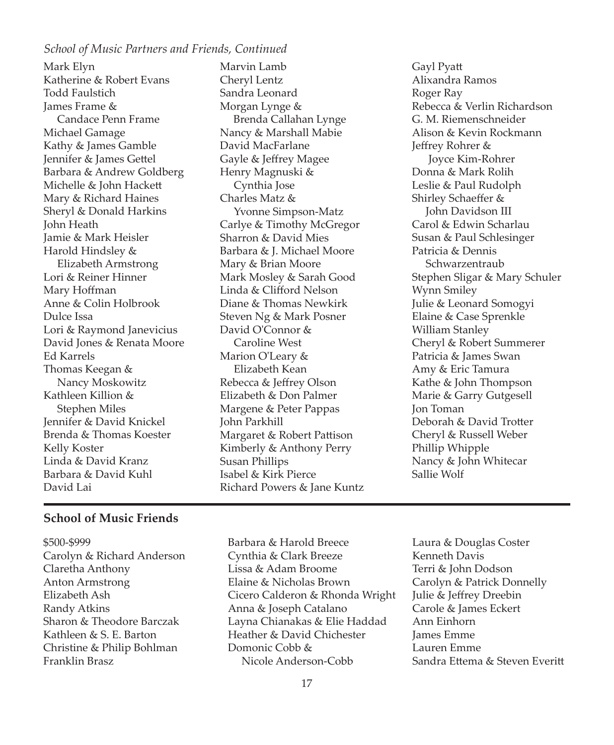### *School of Music Partners and Friends, Continued*

Mark Elyn Katherine & Robert Evans Todd Faulstich James Frame & Candace Penn Frame Michael Gamage Kathy & James Gamble Jennifer & James Gettel Barbara & Andrew Goldberg Michelle & John Hackett Mary & Richard Haines Sheryl & Donald Harkins John Heath Jamie & Mark Heisler Harold Hindsley & Elizabeth Armstrong Lori & Reiner Hinner Mary Hoffman Anne & Colin Holbrook Dulce Issa Lori & Raymond Janevicius David Jones & Renata Moore Ed Karrels Thomas Keegan & Nancy Moskowitz Kathleen Killion & Stephen Miles Jennifer & David Knickel Brenda & Thomas Koester Kelly Koster Linda & David Kranz Barbara & David Kuhl David Lai

Marvin Lamb Cheryl Lentz Sandra Leonard Morgan Lynge & Brenda Callahan Lynge Nancy & Marshall Mabie David MacFarlane Gayle & Jeffrey Magee Henry Magnuski & Cynthia Jose Charles Matz & Yvonne Simpson-Matz Carlye & Timothy McGregor Sharron & David Mies Barbara & J. Michael Moore Mary & Brian Moore Mark Mosley & Sarah Good Linda & Clifford Nelson Diane & Thomas Newkirk Steven Ng & Mark Posner David O'Connor & Caroline West Marion O'Leary & Elizabeth Kean Rebecca & Jeffrey Olson Elizabeth & Don Palmer Margene & Peter Pappas John Parkhill Margaret & Robert Pattison Kimberly & Anthony Perry Susan Phillips Isabel & Kirk Pierce Richard Powers & Jane Kuntz

Gayl Pyatt Alixandra Ramos Roger Ray Rebecca & Verlin Richardson G. M. Riemenschneider Alison & Kevin Rockmann Jeffrey Rohrer & Joyce Kim-Rohrer Donna & Mark Rolih Leslie & Paul Rudolph Shirley Schaeffer & John Davidson III Carol & Edwin Scharlau Susan & Paul Schlesinger Patricia & Dennis Schwarzentraub Stephen Sligar & Mary Schuler Wynn Smiley Julie & Leonard Somogyi Elaine & Case Sprenkle William Stanley Cheryl & Robert Summerer Patricia & James Swan Amy & Eric Tamura Kathe & John Thompson Marie & Garry Gutgesell Jon Toman Deborah & David Trotter Cheryl & Russell Weber Phillip Whipple Nancy & John Whitecar Sallie Wolf

### **School of Music Friends**

- \$500-\$999 Carolyn & Richard Anderson Claretha Anthony Anton Armstrong Elizabeth Ash Randy Atkins Sharon & Theodore Barczak Kathleen & S. E. Barton Christine & Philip Bohlman Franklin Brasz
- Barbara & Harold Breece Cynthia & Clark Breeze Lissa & Adam Broome Elaine & Nicholas Brown Cicero Calderon & Rhonda Wright Anna & Joseph Catalano Layna Chianakas & Elie Haddad Heather & David Chichester Domonic Cobb & Nicole Anderson-Cobb
- Laura & Douglas Coster Kenneth Davis Terri & John Dodson Carolyn & Patrick Donnelly Julie & Jeffrey Dreebin Carole & James Eckert Ann Einhorn James Emme Lauren Emme Sandra Ettema & Steven Everitt